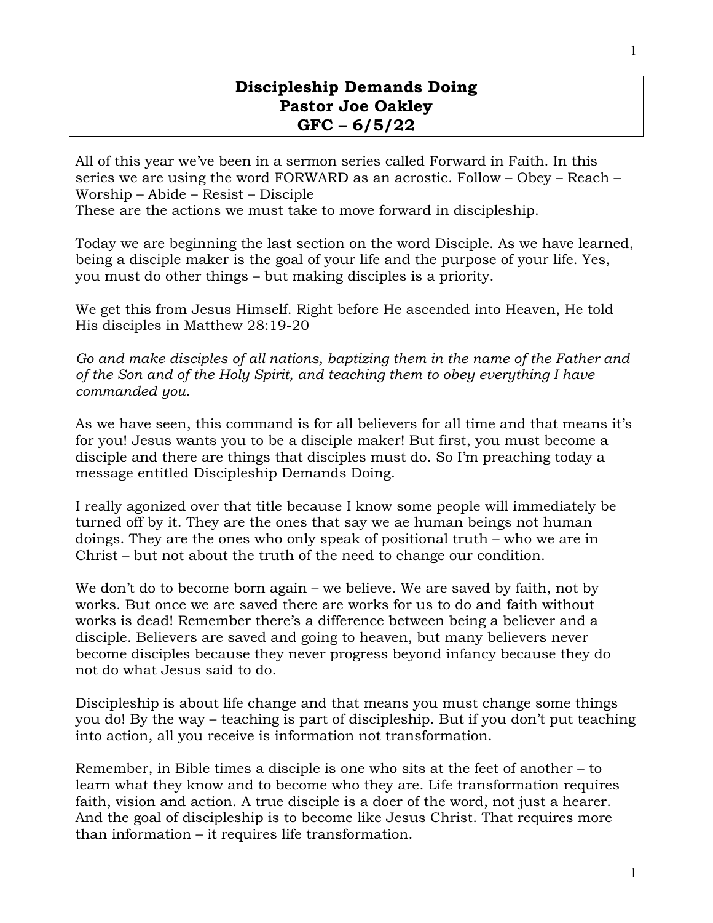## **Discipleship Demands Doing Pastor Joe Oakley GFC – 6/5/22**

All of this year we've been in a sermon series called Forward in Faith. In this series we are using the word FORWARD as an acrostic. Follow – Obey – Reach – Worship – Abide – Resist – Disciple These are the actions we must take to move forward in discipleship.

Today we are beginning the last section on the word Disciple. As we have learned, being a disciple maker is the goal of your life and the purpose of your life. Yes, you must do other things – but making disciples is a priority.

We get this from Jesus Himself. Right before He ascended into Heaven, He told His disciples in Matthew 28:19-20

*Go and make disciples of all nations, baptizing them in the name of the Father and of the Son and of the Holy Spirit, and teaching them to obey everything I have commanded you.* 

As we have seen, this command is for all believers for all time and that means it's for you! Jesus wants you to be a disciple maker! But first, you must become a disciple and there are things that disciples must do. So I'm preaching today a message entitled Discipleship Demands Doing.

I really agonized over that title because I know some people will immediately be turned off by it. They are the ones that say we ae human beings not human doings. They are the ones who only speak of positional truth – who we are in Christ – but not about the truth of the need to change our condition.

We don't do to become born again – we believe. We are saved by faith, not by works. But once we are saved there are works for us to do and faith without works is dead! Remember there's a difference between being a believer and a disciple. Believers are saved and going to heaven, but many believers never become disciples because they never progress beyond infancy because they do not do what Jesus said to do.

Discipleship is about life change and that means you must change some things you do! By the way – teaching is part of discipleship. But if you don't put teaching into action, all you receive is information not transformation.

Remember, in Bible times a disciple is one who sits at the feet of another – to learn what they know and to become who they are. Life transformation requires faith, vision and action. A true disciple is a doer of the word, not just a hearer. And the goal of discipleship is to become like Jesus Christ. That requires more than information – it requires life transformation.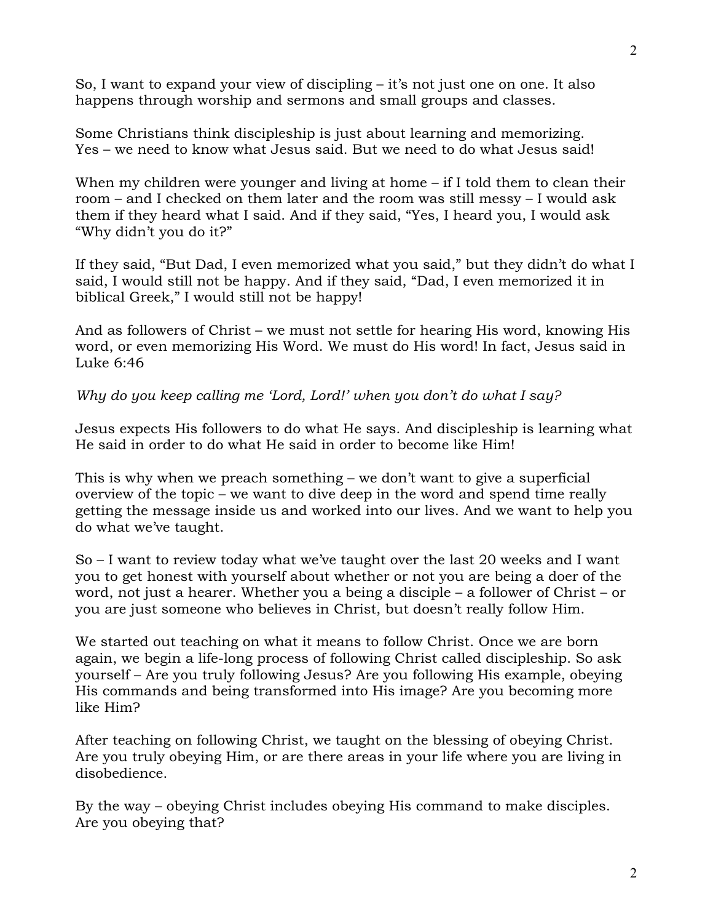So, I want to expand your view of discipling – it's not just one on one. It also happens through worship and sermons and small groups and classes.

Some Christians think discipleship is just about learning and memorizing. Yes – we need to know what Jesus said. But we need to do what Jesus said!

When my children were younger and living at home – if I told them to clean their room – and I checked on them later and the room was still messy – I would ask them if they heard what I said. And if they said, "Yes, I heard you, I would ask "Why didn't you do it?"

If they said, "But Dad, I even memorized what you said," but they didn't do what I said, I would still not be happy. And if they said, "Dad, I even memorized it in biblical Greek," I would still not be happy!

And as followers of Christ – we must not settle for hearing His word, knowing His word, or even memorizing His Word. We must do His word! In fact, Jesus said in Luke 6:46

*Why do you keep calling me 'Lord, Lord!' when you don't do what I say?* 

Jesus expects His followers to do what He says. And discipleship is learning what He said in order to do what He said in order to become like Him!

This is why when we preach something – we don't want to give a superficial overview of the topic – we want to dive deep in the word and spend time really getting the message inside us and worked into our lives. And we want to help you do what we've taught.

So – I want to review today what we've taught over the last 20 weeks and I want you to get honest with yourself about whether or not you are being a doer of the word, not just a hearer. Whether you a being a disciple – a follower of Christ – or you are just someone who believes in Christ, but doesn't really follow Him.

We started out teaching on what it means to follow Christ. Once we are born again, we begin a life-long process of following Christ called discipleship. So ask yourself – Are you truly following Jesus? Are you following His example, obeying His commands and being transformed into His image? Are you becoming more like Him?

After teaching on following Christ, we taught on the blessing of obeying Christ. Are you truly obeying Him, or are there areas in your life where you are living in disobedience.

By the way – obeying Christ includes obeying His command to make disciples. Are you obeying that?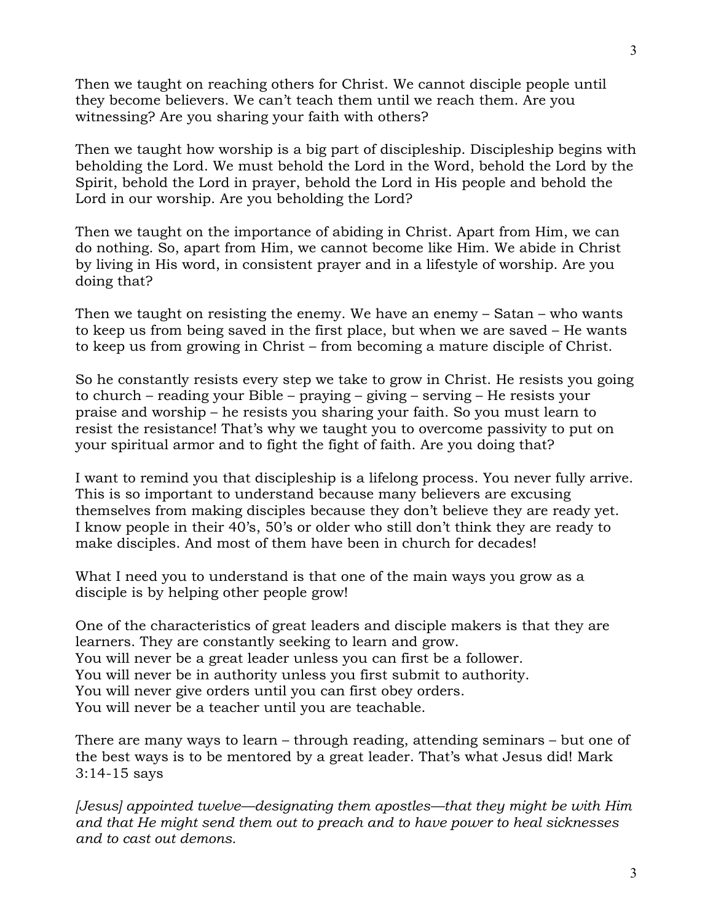Then we taught on reaching others for Christ. We cannot disciple people until they become believers. We can't teach them until we reach them. Are you witnessing? Are you sharing your faith with others?

Then we taught how worship is a big part of discipleship. Discipleship begins with beholding the Lord. We must behold the Lord in the Word, behold the Lord by the Spirit, behold the Lord in prayer, behold the Lord in His people and behold the Lord in our worship. Are you beholding the Lord?

Then we taught on the importance of abiding in Christ. Apart from Him, we can do nothing. So, apart from Him, we cannot become like Him. We abide in Christ by living in His word, in consistent prayer and in a lifestyle of worship. Are you doing that?

Then we taught on resisting the enemy. We have an enemy – Satan – who wants to keep us from being saved in the first place, but when we are saved – He wants to keep us from growing in Christ – from becoming a mature disciple of Christ.

So he constantly resists every step we take to grow in Christ. He resists you going to church – reading your Bible – praying – giving – serving – He resists your praise and worship – he resists you sharing your faith. So you must learn to resist the resistance! That's why we taught you to overcome passivity to put on your spiritual armor and to fight the fight of faith. Are you doing that?

I want to remind you that discipleship is a lifelong process. You never fully arrive. This is so important to understand because many believers are excusing themselves from making disciples because they don't believe they are ready yet. I know people in their 40's, 50's or older who still don't think they are ready to make disciples. And most of them have been in church for decades!

What I need you to understand is that one of the main ways you grow as a disciple is by helping other people grow!

One of the characteristics of great leaders and disciple makers is that they are learners. They are constantly seeking to learn and grow. You will never be a great leader unless you can first be a follower. You will never be in authority unless you first submit to authority. You will never give orders until you can first obey orders.

You will never be a teacher until you are teachable.

There are many ways to learn – through reading, attending seminars – but one of the best ways is to be mentored by a great leader. That's what Jesus did! Mark 3:14-15 says

*[Jesus] appointed twelve—designating them apostles—that they might be with Him and that He might send them out to preach and to have power to heal sicknesses and to cast out demons.*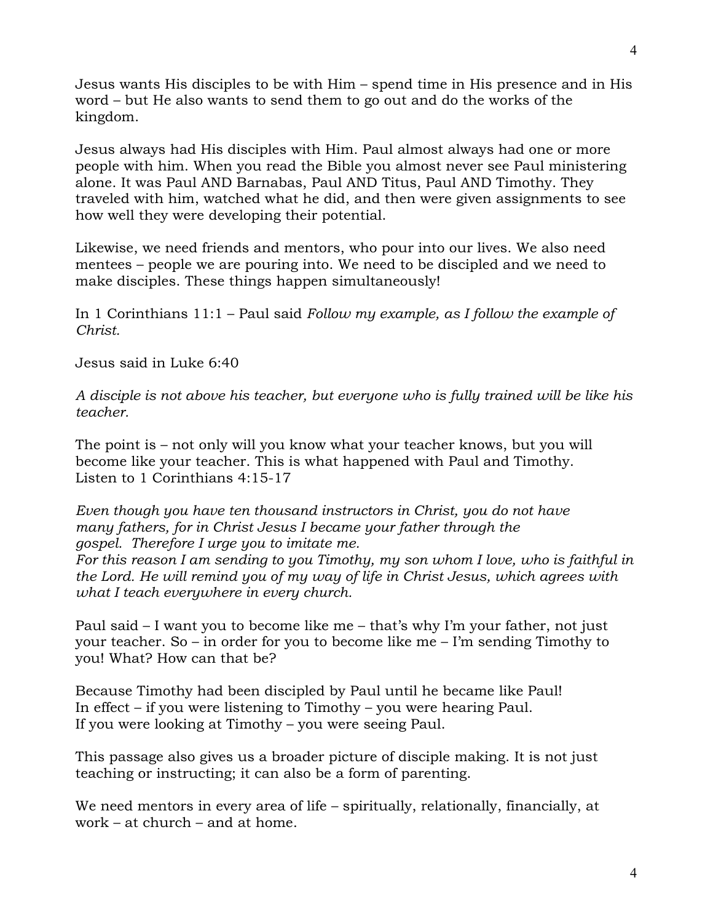Jesus wants His disciples to be with Him – spend time in His presence and in His word – but He also wants to send them to go out and do the works of the kingdom.

Jesus always had His disciples with Him. Paul almost always had one or more people with him. When you read the Bible you almost never see Paul ministering alone. It was Paul AND Barnabas, Paul AND Titus, Paul AND Timothy. They traveled with him, watched what he did, and then were given assignments to see how well they were developing their potential.

Likewise, we need friends and mentors, who pour into our lives. We also need mentees – people we are pouring into. We need to be discipled and we need to make disciples. These things happen simultaneously!

In 1 Corinthians 11:1 – Paul said *Follow my example, as I follow the example of Christ.* 

Jesus said in Luke 6:40

*A disciple is not above his teacher, but everyone who is fully trained will be like his teacher.* 

The point is – not only will you know what your teacher knows, but you will become like your teacher. This is what happened with Paul and Timothy. Listen to 1 Corinthians 4:15-17

*Even though you have ten thousand instructors in Christ, you do not have many fathers, for in Christ Jesus I became your father through the gospel. Therefore I urge you to imitate me.* 

*For this reason I am sending to you Timothy, my son whom I love, who is faithful in the Lord. He will remind you of my way of life in Christ Jesus, which agrees with what I teach everywhere in every church.* 

Paul said – I want you to become like me – that's why I'm your father, not just your teacher. So – in order for you to become like me – I'm sending Timothy to you! What? How can that be?

Because Timothy had been discipled by Paul until he became like Paul! In effect – if you were listening to Timothy – you were hearing Paul. If you were looking at Timothy – you were seeing Paul.

This passage also gives us a broader picture of disciple making. It is not just teaching or instructing; it can also be a form of parenting.

We need mentors in every area of life – spiritually, relationally, financially, at work – at church – and at home.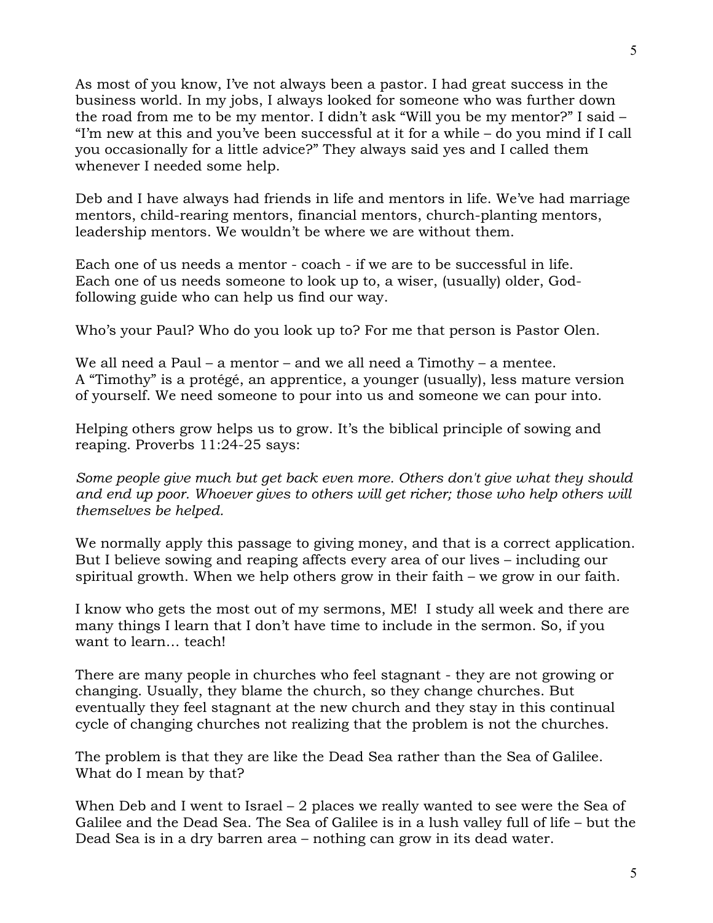As most of you know, I've not always been a pastor. I had great success in the business world. In my jobs, I always looked for someone who was further down the road from me to be my mentor. I didn't ask "Will you be my mentor?" I said – "I'm new at this and you've been successful at it for a while – do you mind if I call you occasionally for a little advice?" They always said yes and I called them whenever I needed some help.

Deb and I have always had friends in life and mentors in life. We've had marriage mentors, child-rearing mentors, financial mentors, church-planting mentors, leadership mentors. We wouldn't be where we are without them.

Each one of us needs a mentor - coach - if we are to be successful in life. Each one of us needs someone to look up to, a wiser, (usually) older, Godfollowing guide who can help us find our way.

Who's your Paul? Who do you look up to? For me that person is Pastor Olen.

We all need a Paul – a mentor – and we all need a Timothy – a mentee. A "Timothy" is a protégé, an apprentice, a younger (usually), less mature version of yourself. We need someone to pour into us and someone we can pour into.

Helping others grow helps us to grow. It's the biblical principle of sowing and reaping. Proverbs 11:24-25 says:

*Some people give much but get back even more. Others don't give what they should*  and end up poor. Whoever gives to others will get richer; those who help others will *themselves be helped.* 

We normally apply this passage to giving money, and that is a correct application. But I believe sowing and reaping affects every area of our lives – including our spiritual growth. When we help others grow in their faith – we grow in our faith.

I know who gets the most out of my sermons, ME! I study all week and there are many things I learn that I don't have time to include in the sermon. So, if you want to learn… teach!

There are many people in churches who feel stagnant - they are not growing or changing. Usually, they blame the church, so they change churches. But eventually they feel stagnant at the new church and they stay in this continual cycle of changing churches not realizing that the problem is not the churches.

The problem is that they are like the Dead Sea rather than the Sea of Galilee. What do I mean by that?

When Deb and I went to Israel – 2 places we really wanted to see were the Sea of Galilee and the Dead Sea. The Sea of Galilee is in a lush valley full of life – but the Dead Sea is in a dry barren area – nothing can grow in its dead water.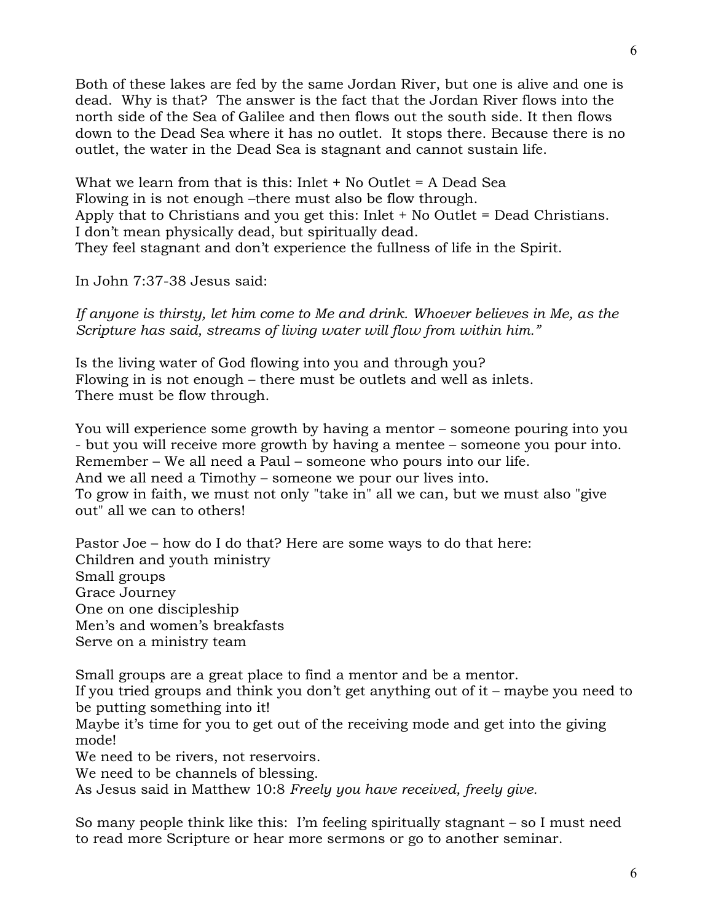Both of these lakes are fed by the same Jordan River, but one is alive and one is dead. Why is that? The answer is the fact that the Jordan River flows into the north side of the Sea of Galilee and then flows out the south side. It then flows down to the Dead Sea where it has no outlet. It stops there. Because there is no outlet, the water in the Dead Sea is stagnant and cannot sustain life.

What we learn from that is this: Inlet + No Outlet = A Dead Sea Flowing in is not enough –there must also be flow through. Apply that to Christians and you get this: Inlet + No Outlet = Dead Christians. I don't mean physically dead, but spiritually dead. They feel stagnant and don't experience the fullness of life in the Spirit.

In John 7:37-38 Jesus said:

If anyone is thirsty, let him come to Me and drink. Whoever believes in Me, as the *Scripture has said, streams of living water will flow from within him."*

Is the living water of God flowing into you and through you? Flowing in is not enough – there must be outlets and well as inlets. There must be flow through.

You will experience some growth by having a mentor – someone pouring into you - but you will receive more growth by having a mentee – someone you pour into. Remember – We all need a Paul – someone who pours into our life. And we all need a Timothy – someone we pour our lives into. To grow in faith, we must not only "take in" all we can, but we must also "give out" all we can to others!

Pastor Joe – how do I do that? Here are some ways to do that here: Children and youth ministry Small groups Grace Journey One on one discipleship Men's and women's breakfasts Serve on a ministry team

Small groups are a great place to find a mentor and be a mentor.

If you tried groups and think you don't get anything out of it – maybe you need to be putting something into it!

Maybe it's time for you to get out of the receiving mode and get into the giving mode!

We need to be rivers, not reservoirs.

We need to be channels of blessing.

As Jesus said in Matthew 10:8 *Freely you have received, freely give.*

So many people think like this: I'm feeling spiritually stagnant – so I must need to read more Scripture or hear more sermons or go to another seminar.